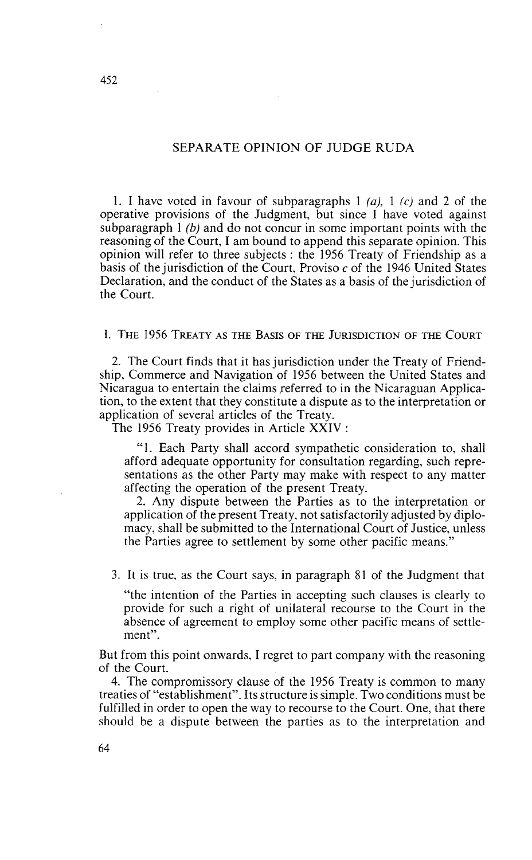## SEPARATE OPINION OF JUDGE RUDA

1. I have voted in favour of subparagraphs  $\frac{1}{a}$ ,  $\frac{1}{c}$  and 2 of the operative provisions of the Judgment, but since 1 have voted against subparagraph 1 (b) and do not concur in some important points with the reasoning of the Court, **1** am bound to append this separate opinion. This opinion will refer to three subjects : the 1956 Treaty of Friendship as a basis of the jurisdiction of the Court, Proviso  $c$  of the 1946 United States Declaration, and the conduct of the States as a basis of the jurisdiction of the Court.

## 1. THE 1956 TREATY AS THE BASIS OF THE JURISDICTION OF THE COURT

2. The Court finds that it has jurisdiction under the Treaty of Friendship, Commerce and Navigation of 1956 between the United States and Nicaragua to entertain the claims referred to in the Nicaraguan Application, to the extent that they constitute a dispute as to the interpretation or application of several articles of the Treaty.

The 1956 Treaty provides in Article **XXIV** :

"1. Each Party shall accord sympathetic consideration to, shall afford adequate opportunity for consultation regarding, such representations as the other Party may make with respect to any matter affecting the operation of the present Treaty.

2. Any dispute between the Parties as to the interpretation or application of the present Treaty, not satisfactorily adjusted by diplomacy, shall be submitted to the International Court of Justice, unless the Parties agree to settlement by some other pacific means."

3. It is true, as the Court says, in paragraph 81 of the Judgment that

"the intention of the Parties in accepting such clauses is clearly to provide for such a right of unilateral recourse to the Court in the absence of agreement to employ some other pacific means of settlement".

But from this point onwards, I regret to part company with the reasoning of the Court.

4. The compromissory clause of the 1956 Treaty is common to many treaties of "establishment". Its structure is simple. Two conditions must be fulfilled in order to open the way to recourse to the Court. One, that there should be a dispute between the parties as to the interpretation and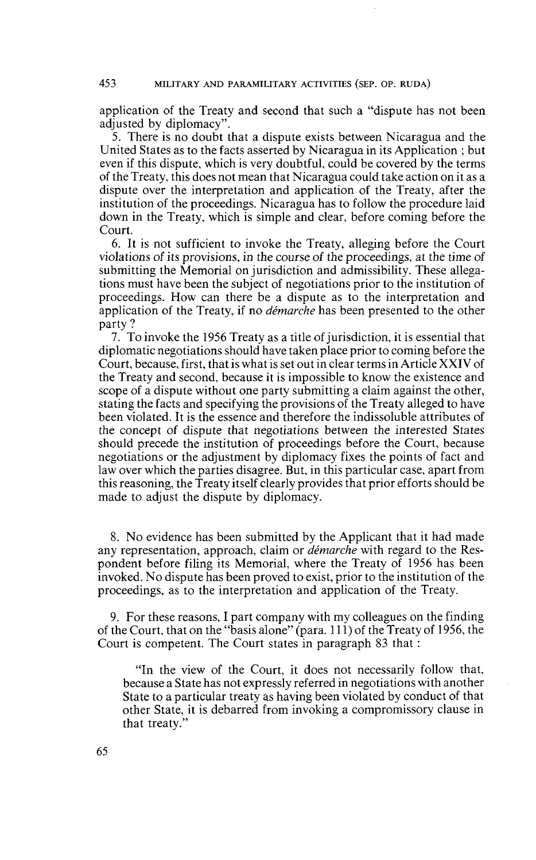application of the Treaty and second that such a "dispute has not been adjusted by diplomacy".

5. There is no doubt that a dispute exists between Nicaragua and the United States as to the facts asserted by Nicaragua in its Application ; but even if this dispute, which is very doubtful, could be covered by the terms of theTreaty, this does not mean that Nicaragua could take action on it as a dispute over the interpretation and application of the Treaty, after the institution of the proceedings. Nicaragua has to follow the procedure laid down in the Treaty, which is simple and clear, before coming before the Court.

6. It is not sufficient to invoke the Treaty, alleging before the Court violations of its provisions, in the course of the proceedings, at the time of submitting the Memorial on jurisdiction and admissibility. These allegations must have been the subject of negotiations prior to the institution of proceedings. How can there be a dispute as to the interpretation and application of the Treaty, if no *démarche* has been presented to the other party ?

7. To invoke the 1956 Treaty as a title of jurisdiction, it is essential that diplomatic negotiations should have taken place prior to coming before the Court, because, first, that is what is set out in clear terms in Article XXIV of the Treaty and second, because it is impossible to know the existence and scope of a dispute without one party submitting a claim against the other, stating the facts and specifying the provisions of the Treaty alleged to have been violated. It is the essence and therefore the indissoluble attributes of the concept of dispute that negotiations between the interested States should precede the institution of proceedings before the Court, because negotiations or the adjustment by diplomacy fixes the points of fact and law over which the parties disagree. But, in this particular case, apart from this reasoning, the Treaty itself clearly provides that prior efforts should be made to adjust the dispute by diplomacy.

8. No evidence has been submitted by the Applicant that it had made any representation, approach, claim or *démarche* with regard to the Respondent before filing its Memorial, where the Treaty of 1956 has been invoked. No dispute has been proved to exist, prior to the institution of the proceedings, as to the interpretation and application of the Treaty.

9. For these reasons, **1** part Company with my colleagues on the finding of the Court, that on the "basis alone" (para. 11 1) of the Treaty of 1956, the Court is competent. The Court states in paragraph 83 that :

"In the view of the Court, it does not necessarily follow that, because a State has not expressly referred in negotiations with another State to a particular treaty as having been violated by conduct of that other State, it is debarred from invoking a compromissory clause in that treaty."

65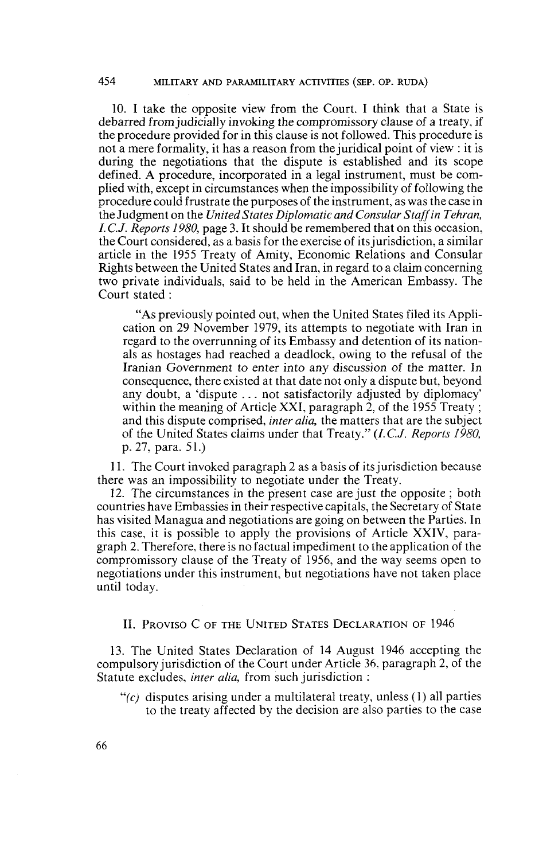10. 1 take the opposite view from the Court. **1** think that a State is debarred from judicially invoking the compromissory clause of a treaty, if the procedure provided for in this clause is not followed. This procedure is not a mere formality, it has a reason from the juridical point of view : it is during the negotiations that the dispute is established and its scope defined. A procedure, incorporated in a legal instrument, must be complied with, except in circumstances when the impossibility of following the procedure could frustrate the purposes of the instrument, as was the case in the Judgment on the *United States Dip fomatic and Consular Staff in Tehran,*  **1.** *C.J. Reports 1980,* page *3.* It should be remembered that on this occasion, the Court considered, as a basis for the exercise of its jurisdiction, a similar article in the 1955 Treaty of Amity, Economic Relations and Consular Rights between the United States and Iran, in regard to a claim concerning two private individuals, said to be held in the American Embassy. The Court stated :

"As previously pointed out, when the United States filed its Application on 29 November 1979, its attempts to negotiate with Iran in regard to the overrunning of its Embassy and detention of its nationals as hostages had reached a deadlock, owing to the refusa1 of the Iranian Government to enter into any discussion of the matter. In consequence, there existed at that date not only a dispute but, beyond any doubt, a 'dispute . . . not satisfactorily adjusted by diplomacy' within the meaning of Article XXI, paragraph 2, of the 1955 Treaty ; and this dispute comprised, *inter aliu,* the matters that are the subject of the United States claims under that Treaty." *(I.C.J. Reports 1980,*  p. 27, para. 51.)

11. The Court invoked paragraph 2 as a basis of its jurisdiction because there was an impossibility to negotiate under the Treaty.

12. The circumstances in the present case are just the opposite ; both countries have Embassies in their respective capitals, the Secretary of State has visited Managua and negotiations are going on between the Parties. In this case, it is possible to apply the provisions of Article XXIV, paragraph 2. Therefore, there is no factual impediment to the application of the compromissory clause of the Treaty of 1956, and the way seems open to negotiations under this instrument, but negotiations have not taken place until today.

# II. PROVISO C OF THE UNITED STATES DECLARATION OF 1946

13. The United States Declaration of 14 August 1946 accepting the compulsory jurisdiction of the Court under Article 36. paragraph 2, of the Statute excludes, *inter ulia,* from such jurisdiction :

**"(c)** disputes arising under a multilateral treaty, unless (1) al1 parties to the treaty affected by the decision are also parties to the case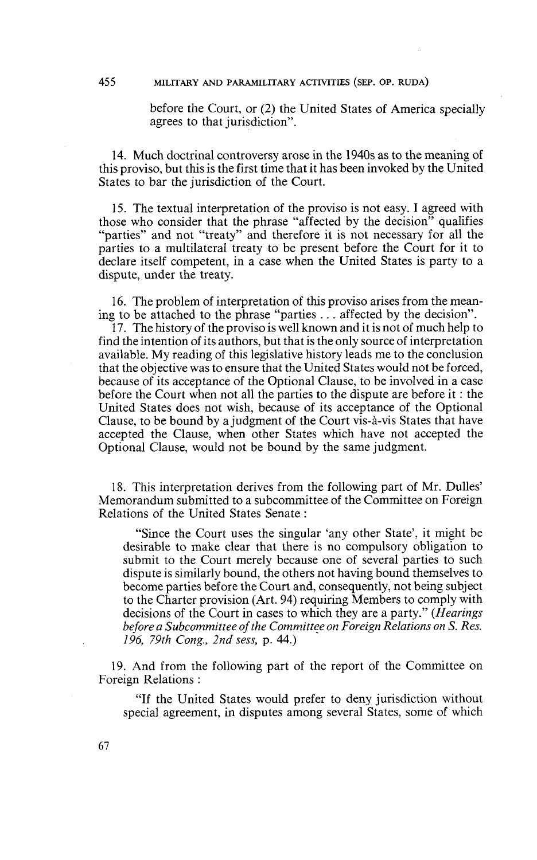#### MILITARY AND PARAMILITARY ACTIVITIES (SEP. OP. RUDA)

before the Court, or (2) the United States of America specially agrees to that jurisdiction".

14. Much doctrinal controversy arose in the 1940s as to the meaning of this proviso, but this is the first time that it has been invoked by the United States to bar the jurisdiction of the Court.

15. The textual interpretation of the proviso is not easy. 1 agreed with those who consider that the phrase "affected by the decision" qualifies "parties" and not "treaty" and therefore it is not necessary for al1 the parties to a multilateral treaty to be present before the Court for it to declare itself competent, in a case when the United States is party to a dispute, under the treaty.

16. The problem of interpretation of this proviso arises from the meaning to be attached to the phrase "parties . . . affected by the decision".

17. The history of the proviso is well known and it is not of much help to find the intention of its authors, but that is the only source of interpretation available. My reading of this legislative history leads me to the conclusion that the objective was to ensure that the United States would not be forced, because of its acceptance of the Optional Clause, to be involved in a case before the Court when not al1 the parties to the dispute are before it : the United States does not wish, because of its acceptance of the Optional Clause, to be bound by a judgment of the Court vis-à-vis States that have accepted the Clause, when other States which have not accepted the Optional Clause, would not be bound by the same judgment.

18. This interpretation derives from the following part of Mr. Dulles' Memorandum submitted to a subcommittee of the Committee on Foreign Relations of the United States Senate :

"Since the Court uses the singular 'any other State', it might be desirable to make clear that there is no compulsory obligation to submit to the Court merely because one of several parties to such dispute is similarly bound, the others not having bound themselves to become parties before the Court and, consequently, not being subject to the Charter provision (Art. 94) requiring Members to comply with decisions of the Court in cases to which they are a party." *(Hearings before a Subcommittee of the Committee on Foreign Relations on S. Res. 196, 79th Cong., 2nd sess,* p. 44.)

19. And from the following part of the report of the Committee on Foreign Relations :

"If the United States would prefer to deny jurisdiction without special agreement, in disputes among several States, some of which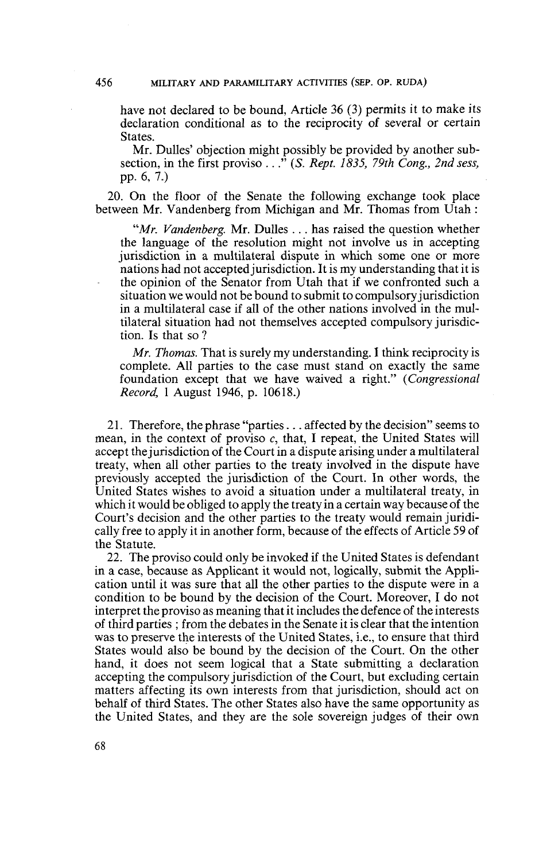have not declared to be bound, Article 36 **(3)** permits it to make its declaration conditional as to the reciprocity of several or certain States.

Mr. Dulles' objection might possibly be provided by another subsection, in the first proviso . . ." *(S. Rept. 1835, 79th Cong., 2nd sess,*  pp. 6, 7.)

20. On the floor of the Senate the following exchange took place between Mr. Vandenberg from Michigan and Mr. Thomas from Utah :

*"Mr. Vandenberg.* Mr. Dulles . . . has raised the question whether the language of the resolution might not involve us in accepting jurisdiction in a multilateral dispute in which some one or more nations had not accepted jurisdiction. It is my understanding that it is the opinion of the Senator from Utah that if we confronted such a situation we would not be bound to submit to compulsory jurisdiction in a multilateral case if al1 of the other nations involved in the multilaterai situation had not themselves accepted compulsory jurisdiction. 1s that so ?

*Mr. Thomas.* That is surely my understanding. 1 think reciprocity is complete. Al1 parties to the case must stand on exactly the same foundation except that we have waived a right." *(Congressional Record*, 1 August 1946, p. 10618.)

21. Therefore, the phrase "parties... affected by the decision" seems to mean, in the context of proviso *c,* that, 1 repeat, the United States will accept the jurisdiction of the Court in a dispute arising under a multilateral treaty, when al1 other parties to the treaty involved in the dispute have previously accepted the jurisdiction of the Court. In other words, the United States wishes to avoid a situation under a multilateral treaty, in which it would be obliged to apply the treaty in a certain way because of the Court's decision and the other parties to the treaty would remain juridically free to apply it in another form, because of the effects of Article 59 of the Statute.

22. The proviso could only be invoked if the United States is defendant in a case, because as Applicant it would not, logically, submit the Application until it was sure that al1 the other parties to the dispute were in a condition to be bound by the decision of the Court. Moreover, 1 do not interpret the proviso as meaning that it includes the defence of the interests of third parties ; from the debates in the Senate it is clear that the intention was to preserve the interests of the United States, i.e., to ensure that third States would also be bound by the decision of the Court. On the other hand, it does not seem logical that a State submitting a declaration accepting the compulsory jurisdiction of the Court, but excluding certain matters affecting its own interests from that jurisdiction, should act on behalf of third States. The other States also have the same opportunity as the United States, and they are the sole sovereign judges of their own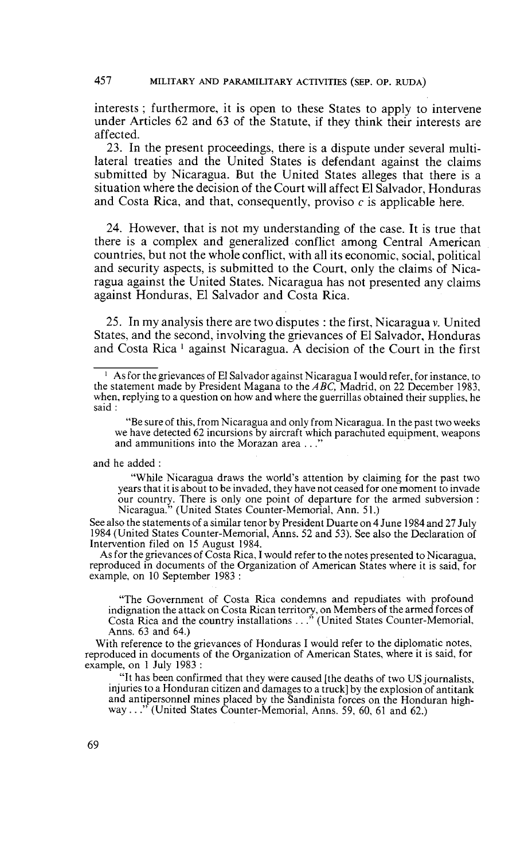interests ; furthermore, it is open to these States to apply to intervene under Articles 62 and 63 of the Statute, if they think their interests are affected.

23. In the present proceedings, there is a dispute under several multilateral treaties and the United States is defendant against the claims submitted by Nicaragua. But the United States alleges that there is a situation where the decision of the Court will affect El Salvador, Honduras and Costa Rica, and that, consequently, proviso  $c$  is applicable here.

24. However, that is not my understanding of the case. It is true that there is a complex and generalized conflict among Central American countries, but not the whole conflict, with al1 its economic, social, political and security aspects, is submitted to the Court, only the claims of Nicaragua against the United States. Nicaragua has not presented any claims against Honduras, El Salvador and Costa Rica.

25. In my analysis there are two disputes : the first, Nicaragua v. United States, and the second, involving the grievances of El Salvador, Honduras and Costa Rica<sup>1</sup> against Nicaragua. A decision of the Court in the first

and he added :

"While Nicaragua draws the world's attention by claiming for the past two years that it is about to be invaded, they have not ceased for one moment to invade our country. There is only one point of departure for the armed subversion : Nicaragua." (United States Counter-Memorial, Ann. 51.)

See also the statements of a similar tenor by President Duarte on 4 June 1984 and 27 July 1984 (United States Counter-Memorial, Anns. 52 and 53). See also the Declaration of Intervention filed on 15 August 1984.

As for the grievances of Costa Rica, **1** would refer to the notes presented to Nicaragua, reproduced in documents of the Organization of American States where it is said, for example, on 10 September 1983 :

"The Government of Costa Rica condemns and repudiates with profound indignation the attack on Costa Rican territory, on Members of the armed forces of Costa Rica and the country installations . . ." (United States Counter-Memorial, Anns. 63 and 64.)

With reference to the grievances of Honduras **1** would refer to the diplomatic notes, reproduced in documents of the Organization of American States, where it is said, for example, on 1 July 1983 :

"It has been confirmed that they were caused [the deaths of two US journalists, injuries to a Honduran citizen and damages to a truck] by the explosion of antitank and antipersonnel mines placed by the Sandinista forces on the Honduran highway . . ." (United States Counter-Memorial, Anns. 59, 60, 61 and 62.)

<sup>&#</sup>x27; As for the grievances of El Salvador against Nicaragua **1** would refer, for instance, to the statement made by President Magana to the ABC, Madrid, on 22 December 1983, when, replying to a question on how and where the guerrillas obtained their supplies, he said :

<sup>&</sup>quot;Be sure of this, from Nicaragua and only from Nicaragua. In the past two weeks we have detected 62 incursions by aircraft which parachuted equipment, weapons and ammunitions into the Morazan area . . .'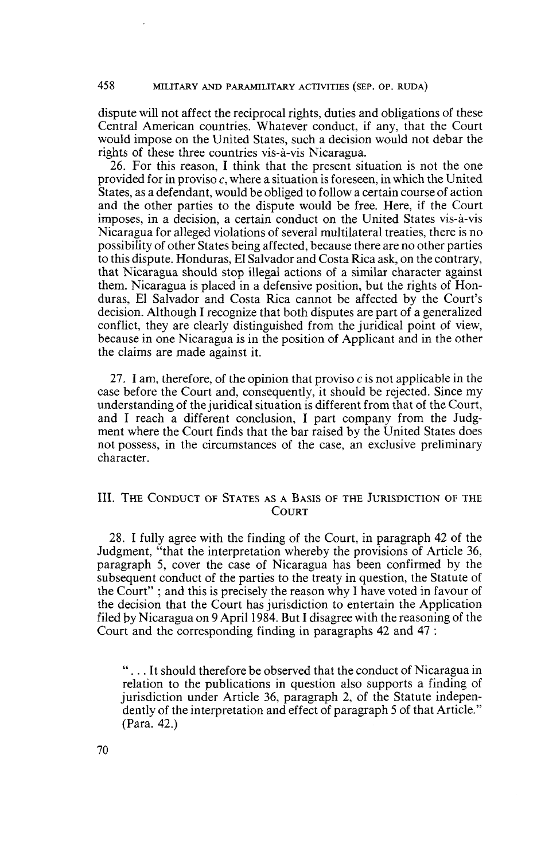### MILITARY AND PARAMILITARY ACTIVITIES (SEP. OP. RUDA)

dispute will not affect the reciprocal rights, duties and obligations of these Central American countries. Whatever conduct, if any, that the Court would impose on the United States, such a decision would not debar the rights of these three countries vis-à-vis Nicaragua.

26. For this reason, 1 think that the present situation is not the one provided for in proviso c, where a situation is foreseen, in which the United States, as a defendant, would be obliged to follow a certain course of action and the other parties to the dispute would be free. Here, if the Court imposes, in a decision, a certain conduct on the United States vis-à-vis Nicaragua for alleged violations of several multilateral treaties, there is no possibility of other States being affected, because there are no other parties to this dispute. Honduras, El Salvador and Costa Rica ask, on the contrary, that Nicaragua should stop illegal actions of a similar character against them. Nicaragua is placed in a defensive position, but the rights of Honduras, El Salvador and Costa Rica cannot be affected by the Court's decision. Although 1 recognize that both disputes are part of a generalized conflict, they are clearly distinguished from the juridical point of view, because in one Nicaragua is in the position of Applicant and in the other the claims are made against it.

27. I am, therefore, of the opinion that proviso  $c$  is not applicable in the case before the Court and, consequently, it should be rejected. Since my understanding of the juridical situation is different from that of the Court, and I reach a different conclusion, I part company from the Judgment where the Court finds that the bar raised by the United States does not possess, in the circumstances of the case, an exclusive preliminary character.

## 111. THE CONDUCT OF STATES AS A BASIS OF THE JURISDICTION OF THE **COURT**

28. 1 fully agree with the finding of the Court, in paragraph 42 of the Judgment, "that the interpretation whereby the provisions of Article 36, paragraph 5, cover the case of Nicaragua has been confirmed by the subsequent conduct of the parties to the treaty in question, the Statute of the Court" ; and this is precisely the reason why 1 have voted in favour of the decision that the Court has jurisdiction to entertain the Application filed by Nicaragua on 9 April 1984. But I disagree with the reasoning of the Court and the corresponding finding in paragraphs 42 and 47 :

" . . . It should therefore be observed that the conduct of Nicaragua in relation to the publications in question also supports a finding of jurisdiction under Article 36, paragraph 2, of the Statute independently of the interpretation and effect of paragraph 5 of that Article." (Para. 42.)

458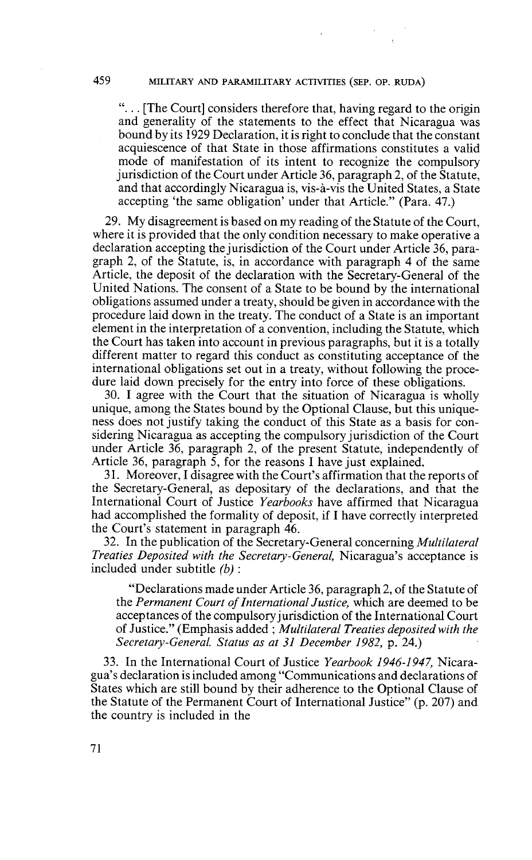". . . [The Court] considers therefore that, having regard to the origin and generality of the statements to the effect that Nicaragua was bound by its 1929 Declaration, it is right to conclude that the constant acquiescence of that State in those affirmations constitutes a valid mode of manifestation of its intent to recognize the compulsory jurisdiction of the Court under Article 36, paragraph 2, of the Statute, and that accordingly Nicaragua is, vis-à-vis the United States, a State accepting 'the same obligation' under that Article." (Para. 47.)

29. My disagreement is based on my reading of the Statute of the Court, where it is provided that the only condition necessary to make operative a declaration accepting the jurisdiction of the Court under Article 36, paragraph 2, of the Statute, is, in accordance with paragraph 4 of the same Article, the deposit of the declaration with the Secretary-General of the United Nations. The consent of a State to be bound by the international obligations assumed under a treaty, should be given in accordance with the procedure laid down in the treaty. The conduct of a State is an important element in the interpretation of a convention, including the Statute, which the Court has taken into account in previous paragraphs, but it is a totally different matter to regard this conduct as constituting acceptance of the international obligations set out in a treaty, without following the procedure laid down precisely for the entry into force of these obligations.

30. **1** agree with the Court that the situation of Nicaragua is wholly unique, among the States bound by the Optional Clause, but this uniqueness does not justify taking the conduct of this State as a basis for considering Nicaragua as accepting the compulsory jurisdiction of the Court under Article 36, paragraph 2, of the present Statute, independently of Article 36, paragraph 5, for the reasons **1** have just explained.

3 1. Moreover, 1 disagree with the Court's affirmation that the reports of the Secretary-General, as depositary of the declarations, and that the International Court of Justice *Yearbooks* have affirmed that Nicaragua had accomplished the formality of deposit, if 1 have correctly interpreted the Court's statement in paragraph 46.

32. In the publication of the Secretary-General concerning *Multilateral Treaties Deposited with the Secretaty-General,* Nicaragua's acceptance is included under subtitle *(b)* :

"Declarations made under Article 36, paragraph 2, of the Statute of the *Permanent Court of International Justice,* which are deemed to be acceptances of the compulsory jurisdiction of the International Court of Justice." (Emphasis added ; *Multilateral Treaties deposited with the Secretary-General. Status as ut 31 December 1982,* p. 24.)

33. In the International Court of Justice *Yearbook 1946-1947,* Nicaragua's declaration is included among "Communications and declarations of States which are still bound by their adherence to the Optional Clause of the Statute of the Permanent Court of International Justice" (p. 207) and the country is included in the